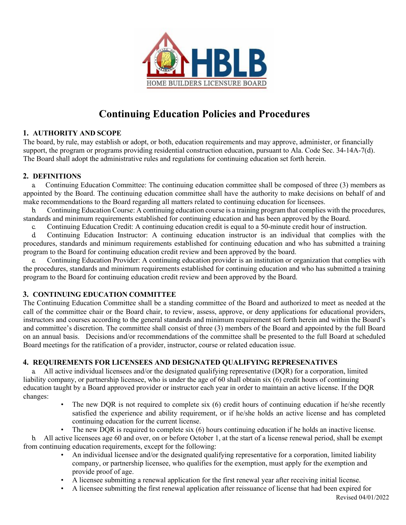

# **Continuing Education Policies and Procedures**

# **1. AUTHORITY AND SCOPE**

The board, by rule, may establish or adopt, or both, education requirements and may approve, administer, or financially support, the program or programs providing residential construction education, pursuant to Ala. Code Sec. 34-14A-7(d). The Board shall adopt the administrative rules and regulations for continuing education set forth herein.

# **2. DEFINITIONS**

a. Continuing Education Committee: The continuing education committee shall be composed of three (3) members as appointed by the Board. The continuing education committee shall have the authority to make decisions on behalf of and make recommendations to the Board regarding all matters related to continuing education for licensees.

b. Continuing Education Course: A continuing education course is a training program that complies with the procedures, standards and minimum requirements established for continuing education and has been approved by the Board.

c. Continuing Education Credit: A continuing education credit is equal to a 50-minute credit hour of instruction.

d. Continuing Education Instructor: A continuing education instructor is an individual that complies with the procedures, standards and minimum requirements established for continuing education and who has submitted a training program to the Board for continuing education credit review and been approved by the board.

e. Continuing Education Provider: A continuing education provider is an institution or organization that complies with the procedures, standards and minimum requirements established for continuing education and who has submitted a training program to the Board for continuing education credit review and been approved by the Board.

# **3. CONTINUING EDUCATION COMMITTEE**

The Continuing Education Committee shall be a standing committee of the Board and authorized to meet as needed at the call of the committee chair or the Board chair, to review, assess, approve, or deny applications for educational providers, instructors and courses according to the general standards and minimum requirement set forth herein and within the Board's and committee's discretion. The committee shall consist of three (3) members of the Board and appointed by the full Board on an annual basis. Decisions and/or recommendations of the committee shall be presented to the full Board at scheduled Board meetings for the ratification of a provider, instructor, course or related education issue.

# **4. REQUIREMENTS FOR LICENSEES AND DESIGNATED QUALIFYING REPRESENATIVES**

a. All active individual licensees and/or the designated qualifying representative (DQR) for a corporation, limited liability company, or partnership licensee, who is under the age of 60 shall obtain six (6) credit hours of continuing education taught by a Board approved provider or instructor each year in order to maintain an active license. If the DQR changes:

- The new DQR is not required to complete six (6) credit hours of continuing education if he/she recently satisfied the experience and ability requirement, or if he/she holds an active license and has completed continuing education for the current license.
- The new DQR is required to complete six (6) hours continuing education if he holds an inactive license.

b. All active licensees age 60 and over, on or before October 1, at the start of a license renewal period, shall be exempt from continuing education requirements, except for the following:

- An individual licensee and/or the designated qualifying representative for a corporation, limited liability company, or partnership licensee, who qualifies for the exemption, must apply for the exemption and provide proof of age.
- A licensee submitting a renewal application for the first renewal year after receiving initial license.
- A licensee submitting the first renewal application after reissuance of license that had been expired for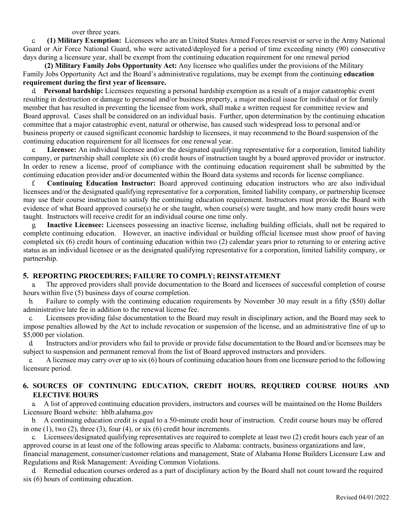over three years.

c. **(1) Military Exemption:** Licensees who are an United States Armed Forces reservist or serve in the Army National Guard or Air Force National Guard, who were activated/deployed for a period of time exceeding ninety (90) consecutive days during a licensure year, shall be exempt from the continuing education requirement for one renewal period

 **(2) Military Family Jobs Opportunity Act:** Any licensee who qualifies under the provisions of the Military Family Jobs Opportunity Act and the Board's administrative regulations, may be exempt from the continuing **education requirement during the first year of licensure.**

d. **Personal hardship:** Licensees requesting a personal hardship exemption as a result of a major catastrophic event resulting in destruction or damage to personal and/or business property, a major medical issue for individual or for family member that has resulted in preventing the licensee from work, shall make a written request for committee review and Board approval. Cases shall be considered on an individual basis. Further, upon determination by the continuing education committee that a major catastrophic event, natural or otherwise, has caused such widespread loss to personal and/or business property or caused significant economic hardship to licensees, it may recommend to the Board suspension of the continuing education requirement for all licensees for one renewal year.

e. **Licensee:** An individual licensee and/or the designated qualifying representative for a corporation, limited liability company, or partnership shall complete six (6) credit hours of instruction taught by a board approved provider or instructor. In order to renew a license, proof of compliance with the continuing education requirement shall be submitted by the continuing education provider and/or documented within the Board data systems and records for license compliance.

f. **Continuing Education Instructor:** Board approved continuing education instructors who are also individual licensees and/or the designated qualifying representative for a corporation, limited liability company, or partnership licensee may use their course instruction to satisfy the continuing education requirement. Instructors must provide the Board with evidence of what Board approved course(s) he or she taught, when course(s) were taught, and how many credit hours were taught. Instructors will receive credit for an individual course one time only.

g. **Inactive Licensee:** Licensees possessing an inactive license, including building officials, shall not be required to complete continuing education. However, an inactive individual or building official licensee must show proof of having completed six (6) credit hours of continuing education within two (2) calendar years prior to returning to or entering active status as an individual licensee or as the designated qualifying representative for a corporation, limited liability company, or partnership.

# **5. REPORTING PROCEDURES; FAILURE TO COMPLY; REINSTATEMENT**

a. The approved providers shall provide documentation to the Board and licensees of successful completion of course hours within five (5) business days of course completion.

b. Failure to comply with the continuing education requirements by November 30 may result in a fifty (\$50) dollar administrative late fee in addition to the renewal license fee.

c. Licensees providing false documentation to the Board may result in disciplinary action, and the Board may seek to impose penalties allowed by the Act to include revocation or suspension of the license, and an administrative fine of up to \$5,000 per violation.

d. Instructors and/or providers who fail to provide or provide false documentation to the Board and/or licensees may be subject to suspension and permanent removal from the list of Board approved instructors and providers.

e. A licensee may carry over up to six (6) hours of continuing education hours from one licensure period to the following licensure period.

# **6. SOURCES OF CONTINUING EDUCATION, CREDIT HOURS, REQUIRED COURSE HOURS AND ELECTIVE HOURS**

a. A list of approved continuing education providers, instructors and courses will be maintained on the Home Builders Licensure Board website: hblb.alabama.gov

b. A continuing education credit is equal to a 50-minute credit hour of instruction. Credit course hours may be offered in one  $(1)$ , two  $(2)$ , three  $(3)$ , four  $(4)$ , or six  $(6)$  credit hour increments.

c. Licensees/designated qualifying representatives are required to complete at least two (2) credit hours each year of an approved course in at least one of the following areas specific to Alabama: contracts, business organizations and law, financial management, consumer/customer relations and management, State of Alabama Home Builders Licensure Law and

Regulations and Risk Management: Avoiding Common Violations.

d. Remedial education courses ordered as a part of disciplinary action by the Board shall not count toward the required six (6) hours of continuing education.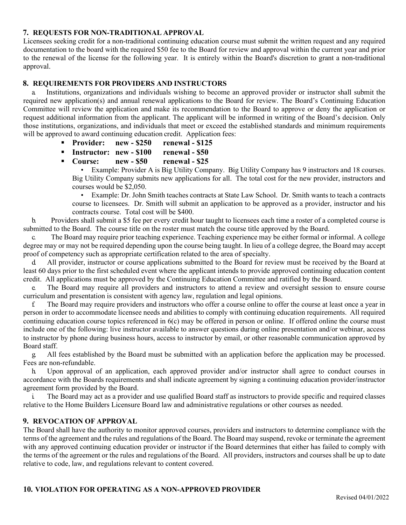# **7. REQUESTS FOR NON-TRADITIONAL APPROVAL**

Licensees seeking credit for a non-traditional continuing education course must submit the written request and any required documentation to the board with the required \$50 fee to the Board for review and approval within the current year and prior to the renewal of the license for the following year. It is entirely within the Board's discretion to grant a non-traditional approval.

#### **8. REQUIREMENTS FOR PROVIDERS AND INSTRUCTORS**

a. Institutions, organizations and individuals wishing to become an approved provider or instructor shall submit the required new application(s) and annual renewal applications to the Board for review. The Board's Continuing Education Committee will review the application and make its recommendation to the Board to approve or deny the application or request additional information from the applicant. The applicant will be informed in writing of the Board's decision. Only those institutions, organizations, and individuals that meet or exceed the established standards and minimum requirements will be approved to award continuing education credit. Application fees:

- **Provider: new - \$250 renewal - \$125**
- **Instructor: new - \$100 renewal - \$50**
- **Course: new - \$50 renewal - \$25**

• Example: Provider A is Big Utility Company. Big Utility Company has 9 instructors and 18 courses. Big Utility Company submits new applications for all. The total cost for the new provider, instructors and courses would be \$2,050.

• Example: Dr. John Smith teaches contracts at State Law School. Dr. Smith wants to teach a contracts course to licensees. Dr. Smith will submit an application to be approved as a provider, instructor and his contracts course. Total cost will be \$400.

b. Providers shall submit a \$5 fee per every credit hour taught to licensees each time a roster of a completed course is submitted to the Board. The course title on the roster must match the course title approved by the Board.

c. The Board may require prior teaching experience. Teaching experience may be either formal or informal. A college degree may or may not be required depending upon the course being taught. In lieu of a college degree, the Board may accept proof of competency such as appropriate certification related to the area of specialty.

All provider, instructor or course applications submitted to the Board for review must be received by the Board at least 60 days prior to the first scheduled event where the applicant intends to provide approved continuing education content credit. All applications must be approved by the Continuing Education Committee and ratified by the Board.

e. The Board may require all providers and instructors to attend a review and oversight session to ensure course curriculum and presentation is consistent with agency law, regulation and legal opinions.

f. The Board may require providers and instructors who offer a course online to offer the course at least once a year in person in order to accommodate licensee needs and abilities to comply with continuing education requirements. All required continuing education course topics referenced in 6(c) may be offered in person or online. If offered online the course must include one of the following: live instructor available to answer questions during online presentation and/or webinar, access to instructor by phone during business hours, access to instructor by email, or other reasonable communication approved by Board staff.

g. All fees established by the Board must be submitted with an application before the application may be processed. Fees are non-refundable.

h. Upon approval of an application, each approved provider and/or instructor shall agree to conduct courses in accordance with the Boards requirements and shall indicate agreement by signing a continuing education provider/instructor agreement form provided by the Board.

i. The Board may act as a provider and use qualified Board staff as instructors to provide specific and required classes relative to the Home Builders Licensure Board law and administrative regulations or other courses as needed.

#### **9. REVOCATION OF APPROVAL**

The Board shall have the authority to monitor approved courses, providers and instructors to determine compliance with the terms of the agreement and the rules and regulations of the Board. The Board may suspend, revoke or terminate the agreement with any approved continuing education provider or instructor if the Board determines that either has failed to comply with the terms of the agreement or the rules and regulations of the Board. All providers, instructors and courses shall be up to date relative to code, law, and regulations relevant to content covered.

#### **10. VIOLATION FOR OPERATING AS A NON-APPROVED PROVIDER**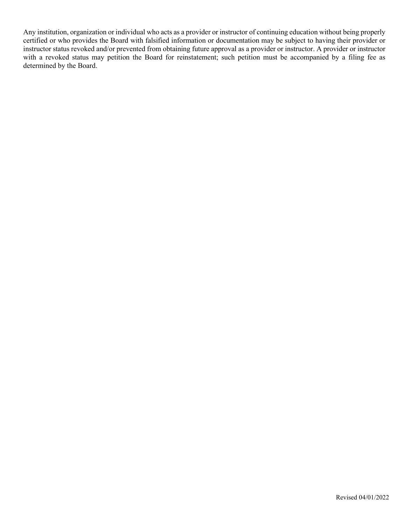Any institution, organization or individual who acts as a provider or instructor of continuing education without being properly certified or who provides the Board with falsified information or documentation may be subject to having their provider or instructor status revoked and/or prevented from obtaining future approval as a provider or instructor. A provider or instructor with a revoked status may petition the Board for reinstatement; such petition must be accompanied by a filing fee as determined by the Board.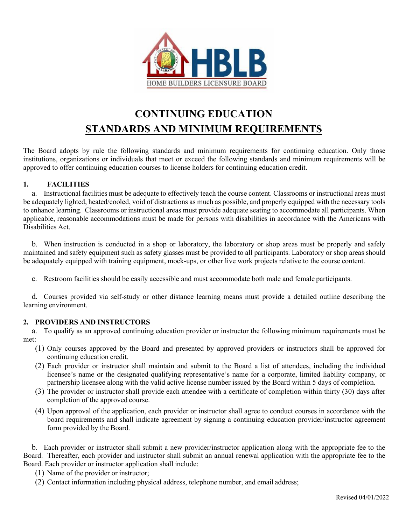

# **CONTINUING EDUCATION STANDARDS AND MINIMUM REQUIREMENTS**

The Board adopts by rule the following standards and minimum requirements for continuing education. Only those institutions, organizations or individuals that meet or exceed the following standards and minimum requirements will be approved to offer continuing education courses to license holders for continuing education credit.

# **1. FACILITIES**

a. Instructional facilities must be adequate to effectively teach the course content. Classrooms or instructional areas must be adequately lighted, heated/cooled, void of distractions as much as possible, and properly equipped with the necessary tools to enhance learning. Classrooms or instructional areas must provide adequate seating to accommodate all participants. When applicable, reasonable accommodations must be made for persons with disabilities in accordance with the Americans with Disabilities Act.

b. When instruction is conducted in a shop or laboratory, the laboratory or shop areas must be properly and safely maintained and safety equipment such as safety glasses must be provided to all participants. Laboratory or shop areas should be adequately equipped with training equipment, mock-ups, or other live work projects relative to the course content.

c. Restroom facilities should be easily accessible and must accommodate both male and female participants.

d. Courses provided via self-study or other distance learning means must provide a detailed outline describing the learning environment.

# **2. PROVIDERS AND INSTRUCTORS**

a. To qualify as an approved continuing education provider or instructor the following minimum requirements must be met:

- (1) Only courses approved by the Board and presented by approved providers or instructors shall be approved for continuing education credit.
- (2) Each provider or instructor shall maintain and submit to the Board a list of attendees, including the individual licensee's name or the designated qualifying representative's name for a corporate, limited liability company, or partnership licensee along with the valid active license number issued by the Board within 5 days of completion.
- (3) The provider or instructor shall provide each attendee with a certificate of completion within thirty (30) days after completion of the approved course.
- (4) Upon approval of the application, each provider or instructor shall agree to conduct courses in accordance with the board requirements and shall indicate agreement by signing a continuing education provider/instructor agreement form provided by the Board.

b. Each provider or instructor shall submit a new provider/instructor application along with the appropriate fee to the Board. Thereafter, each provider and instructor shall submit an annual renewal application with the appropriate fee to the Board. Each provider or instructor application shall include:

- (1) Name of the provider or instructor;
- (2) Contact information including physical address, telephone number, and email address;